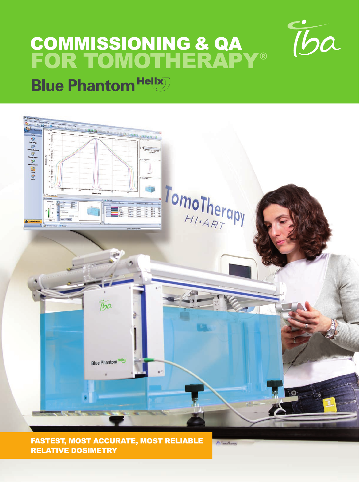# COMMISSIONING & QA FOR TOMOTHERAPY®



# **Blue Phantom Helix**



A Tama Thomas

FASTEST, MOST ACCURATE, MOST RELIABLE RELATIVE DOSIMETRY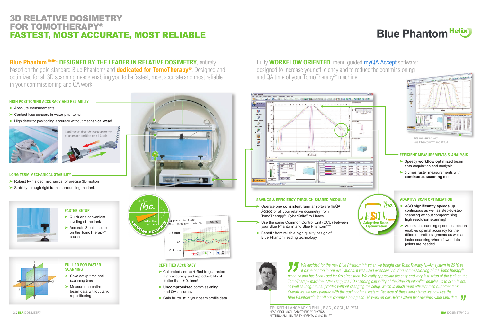**Blue Phantom Helix: DESIGNED BY THE LEADER IN RELATIVE DOSIMETRY, entirely** based on the gold standard Blue Phantom² and **dedicated for TomoTherapy®**. Designed and optimized for all 3D scanning needs enabling you to be fastest, most accurate and most reliable in your commissioning and QA work!

# **Blue Phantom Helix**

# 3D RELATIVE DOSIMETRY FOR TOMOTHERAPY® FASTEST, MOST ACCURATE, MOST RELIABLE

Fully **WORKFLOW ORIENTED**, menu quided myQA Accept software: designed to increase your effi ciency and to reduce the commissioning designed to increase your effi ciency and to reduce the commissioning and QA time of your TomoTherapy® machine.

- ➤ Absolute measurements
- ➤ Contact-less sensors in water phantoms
- ► High detector positioning accuracy without mechanical wear!



- ▶ Quick and convenient leveling of the tank
- ➤ Accurate 3 point setup on the TomoTherapy® couch

- ▶ Save setup time and scanning time
- ➤ Measure the entire beam data without tank repositioning
- ➤ Robust twin sided mechanics for precise 3D motion
- ► Stability through rigid frame surrounding the tank





- 
- 
- 



We decided for the new Blue Phantom Helix when we bought our TomoTherapy Hi-Art system in 2010 as it came out top in our evaluations. It was used extensively during commissioning of the TomoTherapy® machine and has been used for QA since then. We really appreciate the easy and very fast setup of the tank on the TomoTherapy machine. After setup, the 3D scanning capability of the Blue Phantom<sup>Helix</sup> enables us to scan lateral as well as longitudinal profiles without changing the setup, which is much more efficient than our other tank. Overall we are very pleased with the quality of the system. Because of these advantages we now use the Blue Phantom <sup>Helix</sup> for all our commissioning and QA work on our HiArt system that requires water tank data.  $\int$ 

# **HIGH POSITIONING ACCURACY AND RELIABILIY**

# Continuous absolute measurements of chamber position on all 3 axis

# **FASTER SETUP**

# **FULL 3D FOR FASTER SCANNING**



# **CERTIFIED ACCURACY**

- ▶ Calibrated and **certified** to guarantee high accuracy and reproducibility of better than ± 0.1mm!
- ➤ **Uncompromised** commissioning and QA accuracy
- ▶ Gain full trust in your beam profile data



## **LONG TERM MECHANICAL STABILITY**